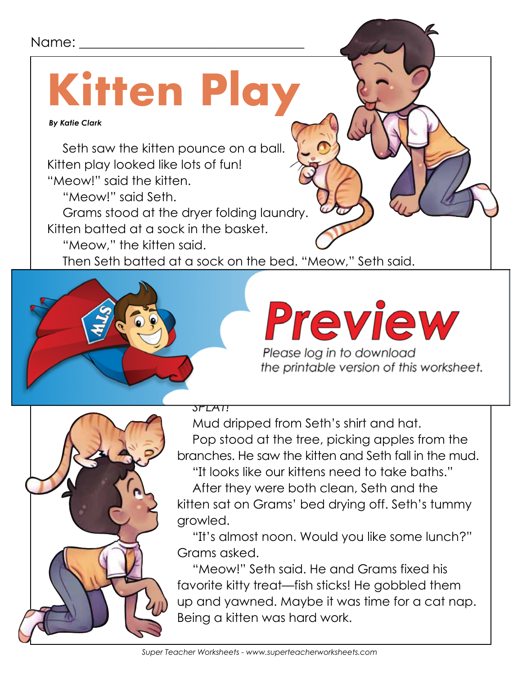#### Name:

### **Kitten Play**

 *By Katie Clark*

Seth saw the kitten pounce on a ball. Kitten play looked like lots of fun! "Meow!" said the kitten.

"Meow!" said Seth.

Grams stood at the dryer folding laundry.

Kitten batted at a sock in the basket.

"Meow," the kitten said.

Then Seth batted at a sock on the bed. "Meow," Seth said.



### She gave the kitten some catholic some catalogue some peace some peace some peace some peace some peace some p



*SPLAT!*

Mud dripped from Seth's shirt and hat. Pop stood at the tree, picking apples from the branches. He saw the kitten and Seth fall in the mud.

"It looks like our kittens need to take baths." After they were both clean, Seth and the kitten sat on Grams' bed drying off. Seth's tummy growled.

"It's almost noon. Would you like some lunch?" Grams asked.

"Meow!" Seth said. He and Grams fixed his favorite kitty treat—fish sticks! He gobbled them up and yawned. Maybe it was time for a cat nap. Being a kitten was hard work.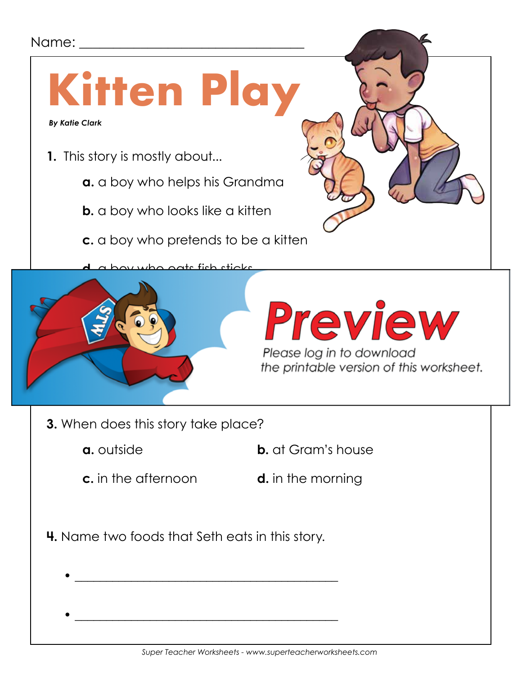#### Name: \_\_\_\_\_\_\_\_\_\_\_\_\_\_\_\_\_\_\_\_\_\_\_\_\_\_\_\_\_\_\_\_\_

### **Kitten Play**

 *By Katie Clark*

- **1.** This story is mostly about...
	- **a.** a boy who helps his Grandma
	- **b.** a boy who looks like a kitten
	- **c.** a boy who pretends to be a kitten

**d.** a boy who eats fish sticks



### Preview

Please log in to download the printable version of this worksheet.

- **3.** When does this story take place?
	-
	- **a.** outside **b.** at Gram's house
	- **c.** in the afternoon **d.** in the morning
- 
- **4.** Name two foods that Seth eats in this story.

• \_\_\_\_\_\_\_\_\_\_\_\_\_\_\_\_\_\_\_\_\_\_\_\_\_\_\_\_\_\_\_\_\_\_\_\_\_\_\_\_\_\_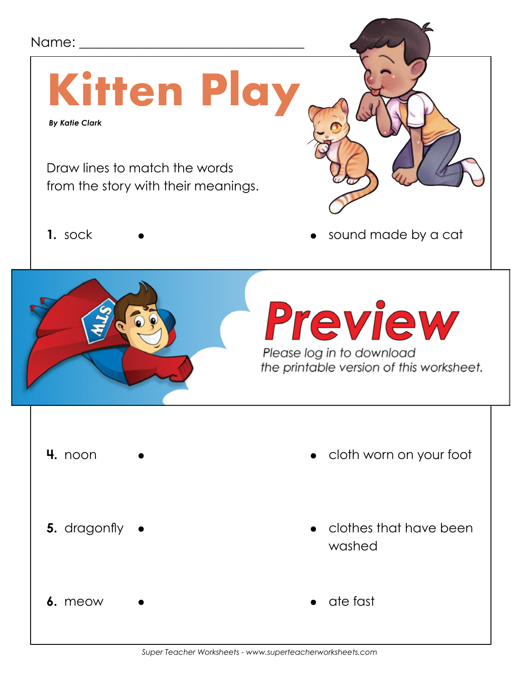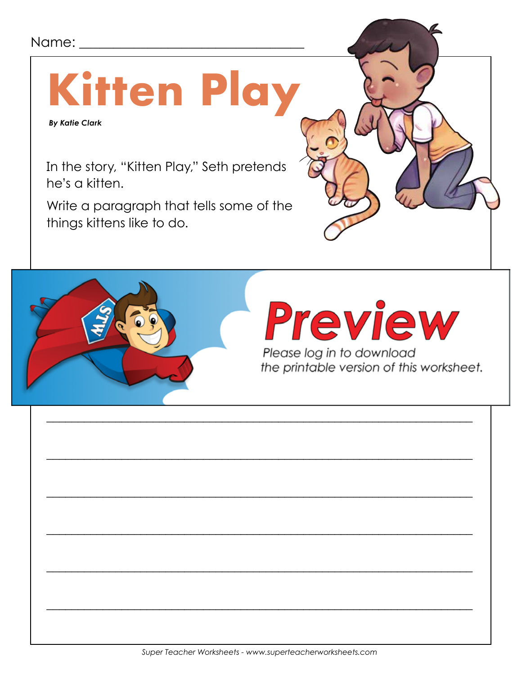#### Name:

### **Kitten Play**

**By Katie Clark** 

In the story, "Kitten Play," Seth pretends he's a kitten.

Write a paragraph that tells some of the things kittens like to do.

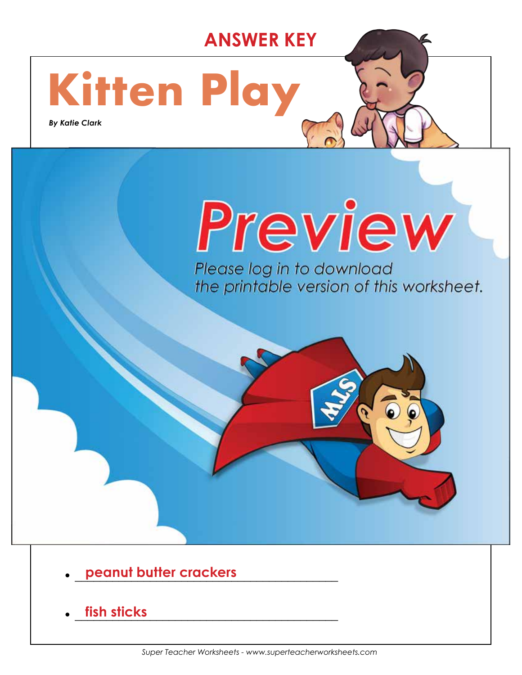#### **ANSWER KEY**

## **Kitten Play**

**2.** What was Seth doing when he fell in the mud?

**a.** outside **b.** at Gram's house

**c. in the afternoon**  $\mathbf{r}$ 

**4.** Name two foods that Seth eats in this story.

 *By Katie Clark*

#### **b.** a boy who looks like a kitten **c. a boy who pretends to be a kitten**

Please log in to download<br>the printable version of this worksheet.

• \_\_\_\_\_\_\_\_\_\_\_\_\_\_\_\_\_\_\_\_\_\_\_\_\_\_\_\_\_\_\_\_\_\_\_\_\_\_\_\_\_\_ **peanut butter crackers**

**3.** When does this story take place?

**chasing a dragonfly**

• \_\_\_\_\_\_\_\_\_\_\_\_\_\_\_\_\_\_\_\_\_\_\_\_\_\_\_\_\_\_\_\_\_\_\_\_\_\_\_\_\_\_ **fish sticks**

 $\blacksquare$